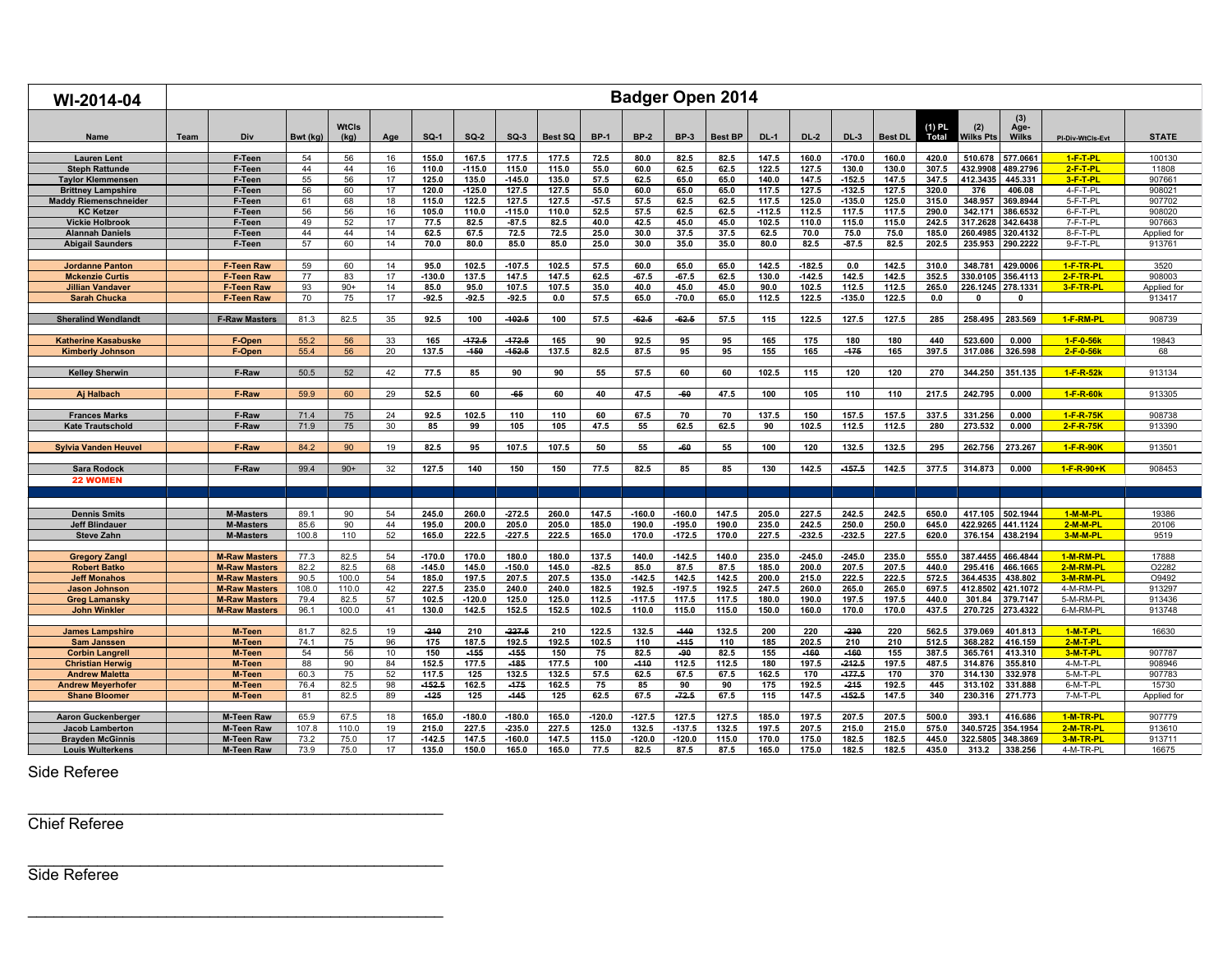| WI-2014-04                                 |      |                                      |               |               |                 |                |                |                      |                |                 |                |                      | <b>Badger Open 2014</b> |                   |                   |                   |                |                 |                     |                      |                        |                  |
|--------------------------------------------|------|--------------------------------------|---------------|---------------|-----------------|----------------|----------------|----------------------|----------------|-----------------|----------------|----------------------|-------------------------|-------------------|-------------------|-------------------|----------------|-----------------|---------------------|----------------------|------------------------|------------------|
| <b>Name</b>                                | Team | Div                                  | Bwt (kg)      | WtCls<br>(kg) | Age             | $SQ-1$         | <b>SQ-2</b>    | $SO-3$               | <b>Best SQ</b> | <b>BP-1</b>     | <b>BP-2</b>    | <b>BP-3</b>          | <b>Best BP</b>          | <b>DL-1</b>       | <b>DL-2</b>       | $DL-3$            | <b>Best DL</b> | (1) PL<br>Total | (2)<br>Wilks Pts    | (3)<br>Age-<br>Wilks | PI-Div-WtCls-Evt       | <b>STATE</b>     |
| <b>Lauren Lent</b>                         |      | F-Teen                               | 54            | 56            | 16              | 155.0          | 167.5          | 177.5                | 177.5          | 72.5            | 80.0           | 82.5                 | 82.5                    | 147.5             | 160.0             | $-170.0$          | 160.0          | 420.0           | 510.678             | 577.0661             | $1-F-T-PL$             | 100130           |
| <b>Steph Rattunde</b>                      |      | F-Teen                               | 44            | 44            | 16              | 110.0          | $-115.0$       | 115.0                | 115.0          | 55.0            | 60.0           | 62.5                 | 62.5                    | 122.5             | 127.5             | 130.0             | 130.0          | 307.5           | 432.9908            | 489.2796             | $2-F-T-PL$             | 11808            |
| <b>Taylor Klemmenser</b>                   |      | F-Teen                               | 55            | 56            | 17              | 125.0          | 135.0          | $-145.0$             | 135.0          | 57.5            | 62.5           | 65.0                 | 65.0                    | 140.0             | 147.5             | $-152.5$          | 147.5          | 347.5           | 412.3435            | 445.331              | 3-F-T-PL               | 90766            |
| <b>Brittney Lampshire</b>                  |      | F-Teen                               | 56            | 60            | 17              | 120.0          | $-125.0$       | 127.5                | 127.5          | 55.0            | 60.0           | 65.0                 | 65.0                    | 117.5             | 127.5             | $-132.5$          | 127.5          | 320.0           | 376                 | 406.08               | 4-F-T-PI               | 908021           |
| <b>Maddy Riemenschneider</b>               |      | F-Teen                               | 61<br>56      | 68<br>56      | 18              | 115.0          | 122.5<br>110.0 | 127.5                | 127.5<br>110.0 | $-57.5$<br>52.5 | 57.5           | 62.5                 | 62.5<br>62.5            | 117.5<br>$-112.5$ | 125.0             | $-135.0$<br>117.5 | 125.0<br>117.5 | 315.0           | 348.957<br>342.171  | 369.8944             | 5-F-T-PI<br>6-F-T-PI   | 907702<br>908020 |
| <b>KC Ketzer</b><br><b>Vickie Holbrook</b> |      | F-Teen<br>F-Teen                     | 49            | 52            | 16<br>17        | 105.0<br>77.5  | 82.5           | $-115.0$<br>$-87.5$  | 82.5           | 40.0            | 57.5<br>42.5   | 62.5<br>45.0         | 45.0                    | 102.5             | 112.5<br>110.0    | 115.0             | 115.0          | 290.0<br>242.5  | 317.2628            | 386.6532<br>342.6438 | 7-F-T-PI               | 907663           |
| <b>Alannah Daniels</b>                     |      | F-Teen                               | 44            | 44            | 14              | 62.5           | 67.5           | 72.5                 | 72.5           | 25.0            | 30.0           | 37.5                 | 37.5                    | 62.5              | 70.0              | 75.0              | 75.0           | 185.0           | 260.4985            | 320.4132             | 8-F-T-PL               | Applied fo       |
| <b>Abigail Saunders</b>                    |      | F-Teen                               | 57            | 60            | 14              | 70.0           | 80.0           | 85.0                 | 85.0           | 25.0            | 30.0           | 35.0                 | 35.0                    | 80.0              | 82.5              | $-87.5$           | 82.5           | 202.5           | 235.953             | 290.2222             | 9-F-T-PL               | 913761           |
|                                            |      |                                      |               |               |                 |                |                |                      |                |                 |                |                      |                         |                   |                   |                   |                |                 |                     |                      |                        |                  |
| <b>Jordanne Panton</b>                     |      | <b>F-Teen Raw</b>                    | 59            | 60            | 14              | 95.0           | 102.5          | $-107.5$             | 102.5          | 57.5            | 60.0           | 65.0                 | 65.0                    | 142.5             | $-182.5$          | 0.0               | 142.5          | 310.0           | 348.781             | 429.0006             | 1-F-TR-PL              | 3520             |
| <b>Mckenzie Curtis</b>                     |      | <b>F-Teen Raw</b>                    | 77            | 83            | 17              | $-130.0$       | 137.5          | 147.5                | 147.5          | 62.5            | $-67.5$        | $-67.5$              | 62.5                    | 130.0             | $-142.5$          | 142.5             | 142.5          | 352.5           | 330.0105            | 356.4113             | 2-F-TR-PL              | 908003           |
| <b>Jillian Vandaver</b>                    |      | <b>F-Teen Raw</b>                    | 93            | $90+$         | 14              | 85.0           | 95.0           | 107.5                | 107.5          | 35.0            | 40.0           | 45.0                 | 45.0                    | 90.0              | 102.5             | 112.5             | 112.5          | 265.0           | 226.1245            | 278.1331             | 3-F-TR-PL              | Applied fo       |
| <b>Sarah Chucka</b>                        |      | <b>F-Teen Raw</b>                    | 70            | 75            | 17              | $-92.5$        | $-92.5$        | $-92.5$              | 0.0            | 57.5            | 65.0           | -70.0                | 65.0                    | 112.5             | 122.5             | $-135.0$          | 122.5          | 0.0             |                     | 0                    |                        | 913417           |
| <b>Sheralind Wendlandt</b>                 |      | <b>F-Raw Masters</b>                 | 81.3          | 82.5          | 35              | 92.5           | 100            | $-102.5$             | 100            | 57.5            | $-62.5$        | $-62.5$              | 57.5                    | 115               | 122.5             | 127.5             | 127.5          | 285             | 258.495             | 283.569              | 1-F-RM-PL              | 908739           |
|                                            |      |                                      |               |               |                 |                |                |                      |                |                 |                |                      |                         |                   |                   |                   |                |                 |                     |                      |                        |                  |
| <b>Katherine Kasabuske</b>                 |      | F-Open                               | 55.2          | 56            | 33<br>20        | 165            | $-472.6$       | $-172.5$<br>$-152.5$ | 165            | 90              | 92.5           | 95                   | 95                      | 165               | 175<br>165        | 180<br>$-175$     | 180            | 440             | 523.600<br>317.086  | 0.000<br>326.598     | 1-F-0-56k<br>2-F-0-56k | 19843<br>68      |
| <b>Kimberly Johnson</b>                    |      | F-Open                               | 55.4          | 56            |                 | 137.5          | -150           |                      | 137.5          | 82.5            | 87.5           | 95                   | 95                      | 155               |                   |                   | 165            | 397.5           |                     |                      |                        |                  |
| <b>Kelley Sherwin</b>                      |      | F-Raw                                | 50.5          | 52            | 42              | 77.5           | 85             | 90                   | 90             | 55              | 57.5           | 60                   | 60                      | 102.5             | 115               | 120               | 120            | 270             | 344.250             | 351.135              | 1-F-R-52k              | 913134           |
| Aj Halbach                                 |      | F-Raw                                | 59.9          | 60            | 29              | 52.5           | 60             | -65                  | 60             | 40              | 47.5           | -60                  | 47.5                    | 100               | 105               | 110               | 110            | 217.5           | 242.795             | 0.000                | 1-F-R-60k              | 913305           |
|                                            |      |                                      |               |               |                 |                |                |                      |                |                 |                |                      |                         |                   |                   |                   |                |                 |                     |                      |                        |                  |
| <b>Frances Marks</b>                       |      | F-Raw                                | 71.4          | 75            | 24              | 92.5           | 102.5          | 110                  | 110            | 60              | 67.5           | 70                   | 70                      | 137.5             | 150               | 157.5             | 157.5          | 337.5           | 331.256             | 0.000                | 1-F-R-75K              | 908738           |
| <b>Kate Trautschold</b>                    |      | F-Raw                                | 71.9          | 75            | 30 <sup>°</sup> | 85             | 99             | 105                  | 105            | 47.5            | 55             | 62.5                 | 62.5                    | 90                | 102.5             | 112.5             | 112.5          | 280             | 273.532             | 0.000                | 2-F-R-75K              | 913390           |
|                                            |      |                                      |               |               |                 |                |                |                      |                |                 |                |                      |                         |                   |                   |                   |                |                 |                     |                      |                        |                  |
| <b>Sylvia Vanden Heuvel</b>                |      | F-Raw                                | 84.2          | 90            | 19              | 82.5           | 95             | 107.5                | 107.5          | 50              | 55             | -60                  | 55                      | 100               | 120               | 132.5             | 132.5          | 295             | 262.756             | 273.267              | 1-F-R-90K              | 91350            |
| <b>Sara Rodock</b>                         |      | F-Raw                                | 99.4          | $90+$         | 32              | 127.5          | 140            | 150                  | 150            | 77.5            | 82.5           | 85                   | 85                      | 130               | 142.5             | $-457.5$          | 142.5          | 377.5           | 314.873             | 0.000                | 1-F-R-90+K             | 908453           |
| 22 WOMEN                                   |      |                                      |               |               |                 |                |                |                      |                |                 |                |                      |                         |                   |                   |                   |                |                 |                     |                      |                        |                  |
|                                            |      |                                      |               |               |                 |                |                |                      |                |                 |                |                      |                         |                   |                   |                   |                |                 |                     |                      |                        |                  |
|                                            |      |                                      |               |               |                 |                |                |                      |                |                 |                |                      |                         |                   |                   |                   |                |                 |                     |                      |                        |                  |
| <b>Dennis Smits</b>                        |      | <b>M-Masters</b>                     | 89.1          | 90            | 54              | 245.0          | 260.0          | $-272.5$             | 260.0          | 147.5           | $-160.0$       | $-160.0$             | 147.5                   | 205.0             | 227.5             | 242.5             | 242.5          | 650.0           | 417.105             | 502.1944             | $1-M-M-PI$             | 19386            |
| <b>Jeff Blindauer</b><br><b>Steve Zahn</b> |      | <b>M-Masters</b><br><b>M-Masters</b> | 85.6<br>100.8 | 90<br>110     | 44<br>52        | 195.0<br>165.0 | 200.0<br>222.5 | 205.0<br>$-227.5$    | 205.0<br>222.5 | 185.0<br>165.0  | 190.0<br>170.0 | $-195.0$<br>$-172.5$ | 190.0<br>170.0          | 235.0<br>227.5    | 242.5<br>$-232.5$ | 250.0<br>$-232.5$ | 250.0<br>227.5 | 645.0<br>620.0  | 422.9265<br>376.154 | 441.1124<br>438.2194 | $2-M-M-PL$<br>3-M-M-PL | 20106<br>9519    |
|                                            |      |                                      |               |               |                 |                |                |                      |                |                 |                |                      |                         |                   |                   |                   |                |                 |                     |                      |                        |                  |
| <b>Gregory Zangl</b>                       |      | <b>M-Raw Masters</b>                 | 77.3          | 82.5          | 54              | $-170.0$       | 170.0          | 180.0                | 180.0          | 137.5           | 140.0          | $-142.5$             | 140.0                   | 235.0             | $-245.0$          | $-245.0$          | 235.0          | 555.0           | 387.4455            | 466.4844             | 1-M-RM-PL              | 17888            |
| <b>Robert Batko</b>                        |      | <b>M-Raw Masters</b>                 | 82.2          | 82.5          | 68              | $-145.0$       | 145.0          | $-150.0$             | 145.0          | $-82.5$         | 85.0           | 87.5                 | 87.5                    | 185.0             | 200.0             | 207.5             | 207.5          | 440.0           | 295.416             | 466.1665             | $2-M-RM-PI$            | O2282            |
| <b>Jeff Monahos</b>                        |      | <b>M-Raw Masters</b>                 | 90.5          | 100.0         | 54              | 185.0          | 197.5          | 207.5                | 207.5          | 135.0           | $-142.5$       | 142.5                | 142.5                   | 200.0             | 215.0             | 222.5             | 222.5          | 572.5           | 364.4535            | 438.802              | 3-M-RM-PL              | O9492            |
| <b>Jason Johnson</b>                       |      | <b>M-Raw Masters</b>                 | 108.0         | 110.0         | 42              | 227.5          | 235.0          | 240.0                | 240.0          | 182.5           | 192.5          | $-197.5$             | 192.5                   | 247.5             | 260.0             | 265.0             | 265.0          | 697.5           | 412.8502            | 421.1072             | 4-M-RM-PL              | 913297           |
| <b>Greg Lamansky</b>                       |      | <b>M-Raw Masters</b>                 | 79.4          | 82.5          | 57              | 102.5          | $-120.0$       | 125.0                | 125.0          | 112.5           | $-117.5$       | 117.5                | 117.5                   | 180.0             | 190.0             | 197.5             | 197.5          | 440.0           | 301.84              | 379.7147             | 5-M-RM-PL              | 913436           |
| <b>John Winkler</b>                        |      | <b>M-Raw Masters</b>                 | 96.1          | 100.0         | 41              | 130.0          | 142.5          | 152.5                | 152.5          | 102.5           | 110.0          | 115.0                | 115.0                   | 150.0             | 160.0             | 170.0             | 170.0          | 437.5           |                     | 270.725 273.4322     | 6-M-RM-PL              | 913748           |
| <b>James Lampshire</b>                     |      | M-Teen                               | 81.7          | 82.5          | 19              | $-240$         | 210            | $-227.6$             | 210            | 122.5           | 132.5          | $-140$               | 132.5                   | 200               | 220               | $-230$            | 220            | 562.5           | 379.069             | 401.813              | $1-M-T-PL$             | 16630            |
| <b>Sam Janssen</b>                         |      | M-Teen                               | 74.1          | 75            | 96              | 175            | 187.5          | 192.5                | 192.5          | 102.5           | 110            | $-445$               | 110                     | 185               | 202.5             | 210               | 210            | 512.5           | 368.282             | 416.159              | $2-M-T-PL$             |                  |
| <b>Corbin Langrel</b>                      |      | M-Teen                               | 54            | 56            | 10 <sup>1</sup> | 150            | $-455$         | $-455$               | 150            | 75              | 82.5           | -90                  | 82.5                    | 155               | $-460$            | $-460$            | 155            | 387.5           | 365.761             | 413.310              | 3-M-T-PL               | 907787           |
| <b>Christian Herwig</b>                    |      | M-Teen                               | 88            | 90            | 84              | 152.5          | 177.5          | -485                 | 177.5          | 100             | $-440$         | 112.5                | 112.5                   | 180               | 197.5             | $-242.6$          | 197.5          | 487.5           | 314.876             | 355.810              | 4-M-T-PL               | 908946           |
| <b>Andrew Maletta</b>                      |      | M-Teen                               | 60.3          | 75            | 52              | 117.5          | 125            | 132.5                | 132.5          | 57.5            | 62.5           | 67.5                 | 67.5                    | 162.5             | 170               | $-477.5$          | 170            | 370             | 314.130             | 332.978              | 5-M-T-PI               | 907783           |
| <b>Andrew Meyerhofer</b>                   |      | M-Teen                               | 76.4          | 82.5          | 98              | $-162.5$       | 162.5          | $-475$               | 162.5          | 75              | 85             | 90                   | 90                      | 175               | 192.5             | $-245$            | 192.5          | 445             | 313.102             | 331.888              | 6-M-T-PI               | 15730            |
| <b>Shane Bloomer</b>                       |      | M-Teen                               | 81            | 82.5          | 89              | $-125$         | 125            | $-445$               | 125            | 62.5            | 67.5           | $-72.5$              | 67.5                    | 115               | 147.5             | $-452.5$          | 147.5          | 340             | 230.316             | 271.773              | 7-M-T-PL               | Applied for      |
| <b>Aaron Guckenberger</b>                  |      | <b>M-Teen Raw</b>                    | 65.9          | 67.5          | 18              | 165.0          | $-180.0$       | $-180.0$             | 165.0          | $-120.0$        | $-127.5$       | 127.5                | 127.5                   | 185.0             | 197.5             | 207.5             | 207.5          | 500.0           | 393.1               | 416.686              | 1-M-TR-PL              | 907779           |
| <b>Jacob Lamberton</b>                     |      | <b>M-Teen Raw</b>                    | 107.8         | 110.0         | 19              | 215.0          | 227.5          | $-235.0$             | 227.5          | 125.0           | 132.5          | $-137.5$             | 132.5                   | 197.5             | 207.5             | 215.0             | 215.0          | 575.0           | 340.5725            | 354.1954             | 2-M-TR-PL              | 913610           |
| <b>Brayden McGinnis</b>                    |      | <b>M-Teen Raw</b>                    | 73.2          | 75.0          | 17              | $-142.5$       | 147.5          | $-160.0$             | 147.5          | 115.0           | $-120.0$       | $-120.0$             | 115.0                   | 170.0             | 175.0             | 182.5             | 182.5          | 445.0           | 322.5805            | 348.3869             | 3-M-TR-PL              | 913711           |
| <b>Louis Wulterkens</b>                    |      | <b>M-Teen Raw</b>                    | 73.9          | 75.0          | 17              | 135.0          | 150.0          | 165.0                | 165.0          | 77.5            | 82.5           | 87.5                 | 875                     | 165.0             | 175.0             | 182.5             | 182.5          | 435.0           | 313.2               | 338.256              | 4-M-TR-PL              | 16675            |

Side Referee

Chief Referee

\_\_\_\_\_\_\_\_\_\_\_\_\_\_\_\_\_\_\_\_\_\_\_\_\_\_\_\_\_\_\_\_\_\_\_\_\_\_\_\_\_\_\_\_\_\_\_\_

\_\_\_\_\_\_\_\_\_\_\_\_\_\_\_\_\_\_\_\_\_\_\_\_\_\_\_\_\_\_\_\_\_\_\_\_\_\_\_\_\_\_\_\_\_\_\_\_

\_\_\_\_\_\_\_\_\_\_\_\_\_\_\_\_\_\_\_\_\_\_\_\_\_\_\_\_\_\_\_\_\_\_\_\_\_\_\_\_\_\_\_\_\_\_\_\_

Side Referee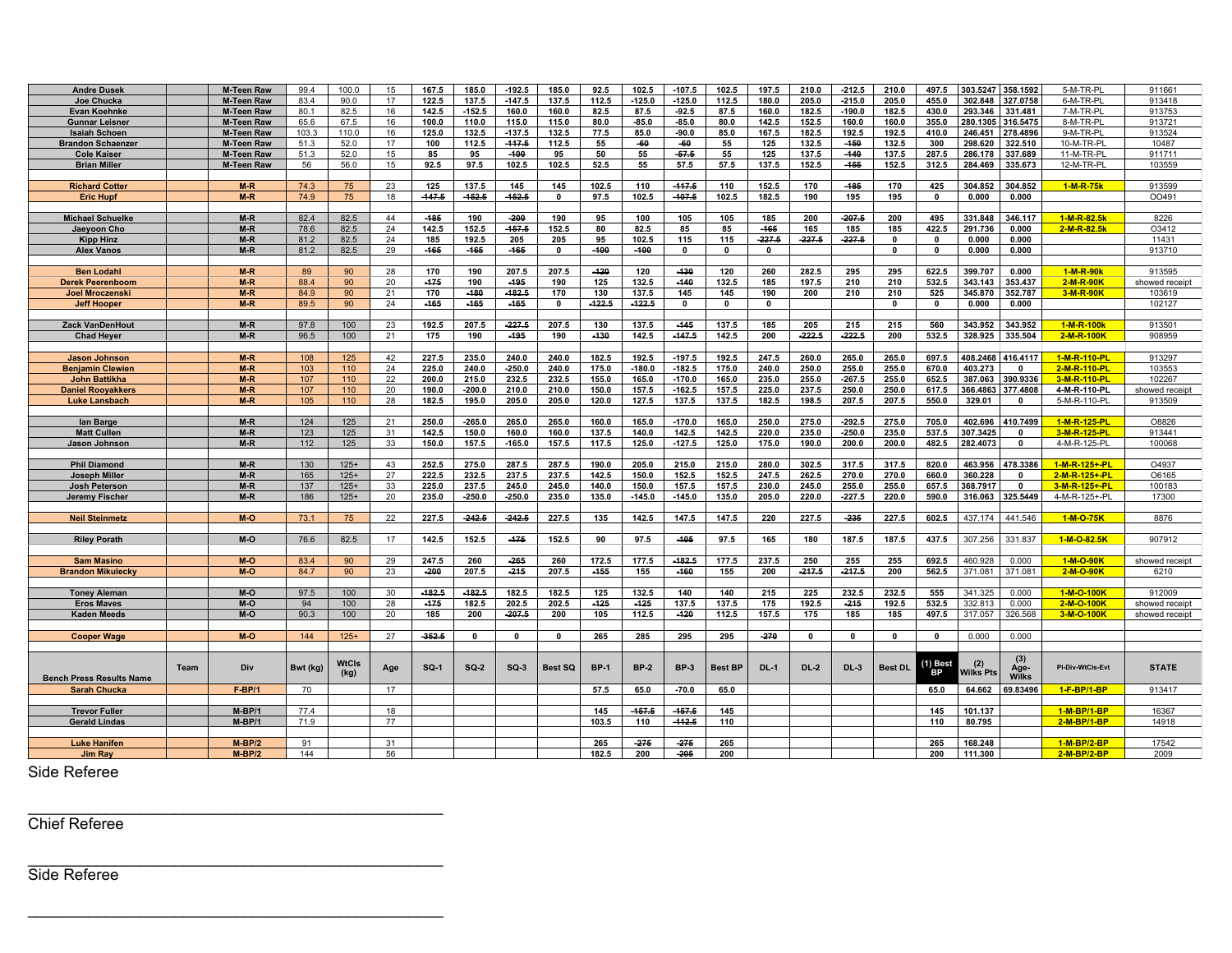| <b>Andre Dusek</b>              |      | <b>M-Teen Raw</b> | 99.4     | 100.0        | 15  | 167.5    | 185.0        | $-192.5$     | 185.0          | 92.5        | 102.5       | $-107.5$     | 102.5          | 197.5        | 210.0       | $-212.5$     | 210.0          | 497.5          |                         | 303.5247 358.1592 | 5-M-TR-PL        | 91166          |
|---------------------------------|------|-------------------|----------|--------------|-----|----------|--------------|--------------|----------------|-------------|-------------|--------------|----------------|--------------|-------------|--------------|----------------|----------------|-------------------------|-------------------|------------------|----------------|
| Joe Chucka                      |      | <b>M-Teen Raw</b> | 83.4     | 90.0         | 17  | 122.5    | 137.5        | $-147.5$     | 137.5          | 112.5       | $-125.0$    | $-125.0$     | 112.5          | 180.0        | 205.0       | $-215.0$     | 205.0          | 455.0          | 302.848                 | 327.0758          | 6-M-TR-PL        | 913418         |
|                                 |      | <b>M-Teen Raw</b> | 80.1     | 82.5         | 16  | 142.5    | $-152.5$     | 160.0        | 160.0          | 82.5        | 87.5        | $-92.5$      | 875            | 160.0        | 182.5       | $-190.0$     | 182.5          | 430.0          | 293.346                 | 331.481           | 7-M-TR-PL        | 913753         |
| Evan Koehnke                    |      | <b>M-Teen Raw</b> | 65.6     | 67.5         | 16  | 100.0    | 110.0        | 115.0        | 115.0          | 80.0        | $-85.0$     | $-85.0$      | 80.0           | 142.5        | 152.5       | 160.0        | 160.0          | 355.0          |                         | 280.1305 316.5475 | 8-M-TR-PL        | 913721         |
| <b>Gunnar Leisner</b>           |      |                   |          |              |     |          |              |              |                |             |             |              |                |              |             |              |                |                |                         |                   |                  |                |
| <b>Isaiah Schoen</b>            |      | <b>M-Teen Raw</b> | 103.3    | 110.0        | 16  | 125.0    | 132.5        | $-137.5$     | 132.5          | 77.5        | 85.0        | $-90.0$      | 85.0           | 167.5        | 182.5       | 192.5        | 192.5          | 410.0          | 246.451                 | 278.4896          | 9-M-TR-PL        | 913524         |
| <b>Brandon Schaenzer</b>        |      | <b>M-Teen Raw</b> | 51.3     | 52.0         | 17  | 100      | 112.5        | $-447.6$     | 112.5          | 55          | -60         | -60          | 55             | 125          | 132.5       | $-450$       | 132.5          | 300            | 298.620                 | 322.510           | 10-M-TR-PL       | 10487          |
| <b>Cole Kaiser</b>              |      | <b>M-Teen Raw</b> | 51.3     | 52.0         | 15  | 85       | 95           | -100         | 95             | 50          | 55          | $-57.5$      | 55             | 125          | 137.5       | $-440$       | 137.5          | 287.5          | 286.178                 | 337.689           | 11-M-TR-PL       | 911711         |
| <b>Brian Miller</b>             |      | <b>M-Teen Raw</b> | 56       | 56.0         | 15  | 92.5     | 97.5         | 102.5        | 102.5          | 52.5        | 55          | 57.5         | 57.5           | 137.5        | 152.5       | $-455$       | 152.5          | 312.5          | 284.469                 | 335.673           | 12-M-TR-PL       | 103559         |
|                                 |      |                   |          |              |     |          |              |              |                |             |             |              |                |              |             |              |                |                |                         |                   |                  |                |
| <b>Richard Cotter</b>           |      | $M-R$             | 74.3     | 75           | 23  | 125      | 137.5        | 145          | 145            | 102.5       | 110         | $-447.5$     | 110            | 152.5        | 170         | $-485$       | 170            | 425            | 304.852                 | 304.852           | 1-M-R-75k        | 913599         |
| <b>Eric Hupf</b>                |      | $M-R$             | 74.9     | 75           | 18  | $-447.5$ | $-462.6$     | $-162.5$     | $\mathbf 0$    | 97.5        | 102.5       | $-107.5$     | 102.5          | 182.5        | 190         | 195          | 195            | $\mathbf 0$    | 0.000                   | 0.000             |                  | 00491          |
|                                 |      |                   |          |              |     |          |              |              |                |             |             |              |                |              |             |              |                |                |                         |                   |                  |                |
| <b>Michael Schuelke</b>         |      | $M-R$             | 82.4     | 82.5         | 44  | $-485$   | 190          | $-200$       | 190            | 95          | 100         | 105          | 105            | 185          | 200         | $-207.5$     | 200            | 495            | 331.848                 | 346.117           | 1-M-R-82.5k      | 8226           |
| Jaeyoon Cho                     |      | $M-R$             | 78.6     | 82.5         | 24  | 142.5    | 152.5        | $-167.6$     | 152.5          | 80          | 82.5        | 85           | 85             | -165         | 165         | 185          | 185            | 422.5          | 291.736                 | 0.000             | 2-M-R-82.5k      | O3412          |
| <b>Kipp Hinz</b>                |      | $M-R$             | 81.2     | 82.5         | 24  | 185      | 192.5        | 205          | 205            | 95          | 102.5       | 115          | 115            | $-227.5$     | $-227.5$    | $-227.5$     | $\mathbf{0}$   | $\mathbf{0}$   | 0.000                   | 0.000             |                  | 11431          |
|                                 |      | $M-R$             | 81.2     |              | 29  | -465     |              | -165         | $\mathbf{0}$   | $-400$      | $-400$      | $\mathbf{0}$ | $\Omega$       | $\mathbf{0}$ |             |              | $\Omega$       | $\mathbf{0}$   |                         | 0.000             |                  | 913710         |
| <b>Alex Vanos</b>               |      |                   |          | 82.5         |     |          | $-465$       |              |                |             |             |              |                |              |             |              |                |                | 0.000                   |                   |                  |                |
|                                 |      |                   |          |              |     |          |              |              |                |             |             |              |                |              |             |              |                |                |                         |                   |                  |                |
| <b>Ben Lodahl</b>               |      | $M-R$             | 89       | 90           | 28  | 170      | 190          | 207.5        | 207.5          | $-120$      | 120         | $-430$       | 120            | 260          | 282.5       | 295          | 295            | 622.5          | 399.707                 | 0.000             | 1-M-R-90k        | 913595         |
| <b>Derek Peerenboom</b>         |      | $M-R$             | 88.4     | 90           | 20  | $-475$   | 190          | -495         | 190            | 125         | 132.5       | $-440$       | 132.5          | 185          | 197.5       | 210          | 210            | 532.5          | 343.143                 | 353.437           | 2-M-R-90K        | showed receipt |
| <b>Joel Mroczenski</b>          |      | $M-R$             | 84.9     | 90           | 21  | 170      | $-480$       | -182.5       | 170            | 130         | 137.5       | 145          | 145            | 190          | 200         | 210          | 210            | 525            | 345.870                 | 352.787           | 3-M-R-90K        | 103619         |
| <b>Jeff Hooper</b>              |      | $M-R$             | 89.5     | 90           | 24  | $-165$   | -165         | $-465$       | $\mathbf 0$    | $-122.5$    | $-122.5$    | $\mathbf 0$  | $\mathbf 0$    | $\mathbf 0$  |             |              | $\mathbf 0$    | $\mathbf 0$    | 0.000                   | 0.000             |                  | 102127         |
|                                 |      |                   |          |              |     |          |              |              |                |             |             |              |                |              |             |              |                |                |                         |                   |                  |                |
| <b>Zack VanDenHout</b>          |      | $M-R$             | 97.8     | 100          | 23  | 192.5    | 207.5        | $-227.5$     | 207.5          | 130         | 137.5       | $-445$       | 137.5          | 185          | 205         | 215          | 215            | 560            | 343.952                 | 343.952           | 1-M-R-100k       | 913501         |
| <b>Chad Heyer</b>               |      | $M-R$             | 96.5     | 100          | 21  | 175      | 190          | -195         | 190            | $-130$      | 142.5       | $-447.5$     | 142.5          | 200          | -222.5      | -222.5       | 200            | 532.5          | 328.925                 | 335.504           | 2-M-R-100K       | 908959         |
|                                 |      |                   |          |              |     |          |              |              |                |             |             |              |                |              |             |              |                |                |                         |                   |                  |                |
| <b>Jason Johnson</b>            |      | $M-R$             | 108      | 125          | 42  | 227.5    | 235.0        | 240.0        | 240.0          | 182.5       | 192.5       | $-197.5$     | 192.5          | 247.5        | 260.0       | 265.0        | 265.0          | 697.5          | 408.2468                | 416.4117          | 1-M-R-110-PL     | 913297         |
| <b>Benjamin Clewien</b>         |      | $M-R$             | 103      | 110          | 24  | 225.0    | 240.0        | $-250.0$     | 240.0          | 175.0       | $-180.0$    | $-182.5$     | 175.0          | 240.0        | 250.0       | 255.0        | 255.0          | 670.0          | 403.273                 | $\Omega$          | 2-M-R-110-PL     | 103553         |
| <b>John Battikha</b>            |      | $M-R$             | 107      | 110          | 22  | 200.0    | 215.0        | 232.5        | 232.5          | 155.0       | 165.0       | $-170.0$     | 165.0          | 235.0        | 255.0       | $-267.5$     | 255.0          | 652.5          | 387.063                 | 390.9336          | 3-M-R-110-PL     | 102267         |
| <b>Daniel Rooyakkers</b>        |      | $M-R$             | 107      | 110          | 20  | 190.0    | $-200.0$     | 210.0        | 210.0          | 150.0       | 157.5       | $-162.5$     | 157.5          | 225.0        | 237.5       | 250.0        | 250.0          | 617.5          | 366.4863                | 377.4808          | 4-M-R-110-PL     | showed receipt |
| <b>Luke Lansbach</b>            |      | $M-R$             | 105      | 110          | 28  | 182.5    | 195.0        | 205.0        | 205.0          | 120.0       | 127.5       | 137.5        | 137.5          | 182.5        | 198.5       | 207.5        | 207.5          | 550.0          | 329.01                  | $\mathbf{0}$      | 5-M-R-110-PL     | 913509         |
|                                 |      |                   |          |              |     |          |              |              |                |             |             |              |                |              |             |              |                |                |                         |                   |                  |                |
| lan Barge                       |      | $M-R$             | 124      | 125          | 21  | 250.0    | $-265.0$     | 265.0        | 265.0          | 160.0       | 165.0       | $-170.0$     | 165.0          | 250.0        | 275.0       | $-292.5$     | 275.0          | 705.0          | 402.696                 | 410.7499          | 1-M-R-125-PL     | O8826          |
| <b>Matt Cullen</b>              |      | $M-R$             | 123      | 125          | 31  | 142.5    | 150.0        | 160.0        | 160.0          | 137.5       | 140.0       | 142.5        | 142.5          | 220.0        | 235.0       | $-250.0$     | 235.0          | 537.5          | 307.3425                | $\mathbf 0$       | 3-M-R-125-PL     | 913441         |
| Jason Johnson                   |      | $M-R$             | 112      | 125          | 33  | 150.0    | 157.5        | $-165.0$     | 157.5          | 117.5       | 125.0       | $-127.5$     | 125.0          | 175.0        | 190.0       | 200.0        | 200.0          | 482.5          | 282.4073                | $\mathbf{0}$      | 4-M-R-125-PL     | 100068         |
|                                 |      |                   |          |              |     |          |              |              |                |             |             |              |                |              |             |              |                |                |                         |                   |                  |                |
| <b>Phil Diamond</b>             |      | $M-R$             | 130      | $125+$       | 43  | 252.5    | 275.0        | 287.5        | 287.5          | 190.0       | 205.0       | 215.0        | 215.0          | 280.0        | 302.5       | 317.5        | 317.5          | 820.0          | 463.956                 | 478.3386          | 1-M-R-125+-PL    | O4937          |
| <b>Joseph Miller</b>            |      | $M-R$             | 165      | $125+$       | 27  | 222.5    | 232.5        | 237.5        | 237.5          | 142.5       | 150.0       | 152.5        | 152.5          | 247.5        | 262.5       | 270.0        | 270.0          | 660.0          | 360.228                 | $\mathbf{0}$      | 2-M-R-125+-PL    | O6165          |
| <b>Josh Peterson</b>            |      | $M-R$             | 137      | $125+$       | 33  | 225.0    | 237.5        | 245.0        | 245.0          | 140.0       | 150.0       | 157.5        | 157.5          | 230.0        | 245.0       | 255.0        | 255.0          | 657.5          | 368.7917                | $\mathbf{0}$      | 3-M-R-125+-PL    | 100183         |
| Jeremy Fischer                  |      | $M-R$             | 186      | $125+$       | 20  | 235.0    | $-250.0$     | $-250.0$     | 235.0          | 135.0       | $-145.0$    | $-145.0$     | 135.0          | 205.0        | 220.0       | $-227.5$     | 220.0          | 590.0          | 316.063                 | 325.5449          | 4-M-R-125+-PL    | 17300          |
|                                 |      |                   |          |              |     |          |              |              |                |             |             |              |                |              |             |              |                |                |                         |                   |                  |                |
|                                 |      |                   |          |              | 22  |          |              |              |                |             |             |              |                |              |             |              |                | 602.5          |                         | 441.546           |                  |                |
| <b>Neil Steinmetz</b>           |      | $M-O$             | 73.1     | 75           |     | 227.5    | $-242.5$     | -242.5       | 227.5          | 135         | 142.5       | 147.5        | 147.5          | 220          | 227.5       | -235         | 227.5          |                | 437.174                 |                   | 1-M-O-75K        | 8876           |
|                                 |      |                   |          |              |     |          |              |              |                |             |             |              |                |              |             |              |                |                |                         |                   |                  |                |
| <b>Riley Porath</b>             |      | M-O               | 76.6     | 82.5         | 17  | 142.5    | 152.5        | $-475$       | 152.5          | 90          | 97.5        | $-105$       | 975            | 165          | 180         | 187.5        | 187.5          | 437.5          | 307.256                 | 331.837           | 1-M-O-82.5K      | 907912         |
|                                 |      |                   |          |              |     |          |              |              |                |             |             |              |                |              |             |              |                |                |                         |                   |                  |                |
| <b>Sam Masino</b>               |      | M-O               | 83.4     | 90           | 29  | 247.5    | 260          | -265         | 260            | 172.5       | 177.5       | $-182.6$     | 177.5          | 237.5        | 250         | 255          | 255            | 692.5          | 460.928                 | 0.000             | 1-M-O-90K        | showed receipt |
| <b>Brandon Mikulecky</b>        |      | M-O               | 84.7     | 90           | 23  | $-200$   | 207.5        | $-215$       | 207.5          | $-455$      | 155         | $-460$       | 155            | 200          | $-247.5$    | $-247.5$     | 200            | 562.5          | 371.081                 | 371.081           | 2-M-O-90K        | 6210           |
|                                 |      |                   |          |              |     |          |              |              |                |             |             |              |                |              |             |              |                |                |                         |                   |                  |                |
| <b>Toney Aleman</b>             |      | M-O               | 97.5     | 100          | 30  | $-182.5$ | $-182.5$     | 182.5        | 182.5          | 125         | 132.5       | 140          | 140            | 215          | 225         | 232.5        | 232.5          | 555            | 341.325                 | 0.000             | 1-M-O-100K       | 912009         |
| <b>Eros Maves</b>               |      | M-O               | 94       | 100          | 28  | $-175$   | 182.5        | 202.5        | 202.5          | $-125$      | -125        | 137.5        | 137.5          | 175          | 192.5       | $-245$       | 192.5          | 532.5          | 332.813                 | 0.000             | 2-M-O-100K       | showed receipt |
| <b>Kaden Meeds</b>              |      | M-O               | 90.3     | 100          | 20  | 185      | 200          | $-207.5$     | 200            | 105         | 112.5       | $-420$       | 112.5          | 157.5        | 175         | 185          | 185            | 497.5          | 317.057                 | 326.568           | 3-M-O-100K       | showed receipt |
|                                 |      |                   |          |              |     |          |              |              |                |             |             |              |                |              |             |              |                |                |                         |                   |                  |                |
| <b>Cooper Wage</b>              |      | M-O               | 144      | $125+$       | 27  | $-352.5$ | $\mathbf{0}$ | $\mathbf{0}$ | $\mathbf{0}$   | 265         | 285         | 295          | 295            | $-270$       | $\mathbf 0$ | $\mathbf{0}$ | $\mathbf{0}$   | $\mathbf{0}$   | 0.000                   | 0.000             |                  |                |
|                                 |      |                   |          |              |     |          |              |              |                |             |             |              |                |              |             |              |                |                |                         |                   |                  |                |
|                                 |      |                   |          |              |     |          |              |              |                |             |             |              |                |              |             |              |                |                |                         | (3)               |                  |                |
|                                 | Team | Div               | Bwt (kg) | <b>WtCIs</b> | Age | $SQ-1$   | $SQ-2$       | $SQ-3$       | <b>Best SQ</b> | <b>BP-1</b> | <b>BP-2</b> | <b>BP-3</b>  | <b>Best BP</b> | <b>DL-1</b>  | <b>DL-2</b> | <b>DL-3</b>  | <b>Best DL</b> | (1) Best<br>BP | (2)<br><b>Nilks Pts</b> | Age-              | PI-Div-WtCls-Evt | <b>STATE</b>   |
| <b>Bench Press Results Name</b> |      |                   |          | (kg)         |     |          |              |              |                |             |             |              |                |              |             |              |                |                |                         | <b>Wilks</b>      |                  |                |
| <b>Sarah Chucka</b>             |      | $F-BP/1$          | 70       |              | 17  |          |              |              |                | 57.5        | 65.0        | $-70.0$      | 65.0           |              |             |              |                | 65.0           | 64.662                  | 69.83496          | 1-F-BP/1-BP      | 913417         |
|                                 |      |                   |          |              |     |          |              |              |                |             |             |              |                |              |             |              |                |                |                         |                   |                  |                |
| <b>Trevor Fuller</b>            |      | M-BP/1            | 77.4     |              | 18  |          |              |              |                | 145         | $-167.5$    | $-467.6$     | 145            |              |             |              |                | 145            | 101.137                 |                   | 1-M-BP/1-BP      | 16367          |
| <b>Gerald Lindas</b>            |      | $M-BP/1$          | 71.9     |              | 77  |          |              |              |                | 103.5       | 110         | -112.5       | 110            |              |             |              |                | 110            | 80.795                  |                   | 2-M-BP/1-BP      | 14918          |
|                                 |      |                   |          |              |     |          |              |              |                |             |             |              |                |              |             |              |                |                |                         |                   |                  |                |
| <b>Luke Hanifen</b>             |      | $M-BP/2$          | 91       |              | 31  |          |              |              |                | 265         | $-275$      | $-276$       | 265            |              |             |              |                | 265            | 168.248                 |                   | 1-M-BP/2-BP      | 17542          |
| Jim Ray                         |      | $M-BP/2$          | 144      |              | 56  |          |              |              |                | 182.5       | 200         | $-205$       | 200            |              |             |              |                | 200            | 111.300                 |                   | 2-M-BP/2-BP      | 2009           |
|                                 |      |                   |          |              |     |          |              |              |                |             |             |              |                |              |             |              |                |                |                         |                   |                  |                |

Side Referee

Chief Referee

\_\_\_\_\_\_\_\_\_\_\_\_\_\_\_\_\_\_\_\_\_\_\_\_\_\_\_\_\_\_\_\_\_\_\_\_\_\_\_\_\_\_\_\_\_\_\_\_

\_\_\_\_\_\_\_\_\_\_\_\_\_\_\_\_\_\_\_\_\_\_\_\_\_\_\_\_\_\_\_\_\_\_\_\_\_\_\_\_\_\_\_\_\_\_\_\_

\_\_\_\_\_\_\_\_\_\_\_\_\_\_\_\_\_\_\_\_\_\_\_\_\_\_\_\_\_\_\_\_\_\_\_\_\_\_\_\_\_\_\_\_\_\_\_\_

Side Referee